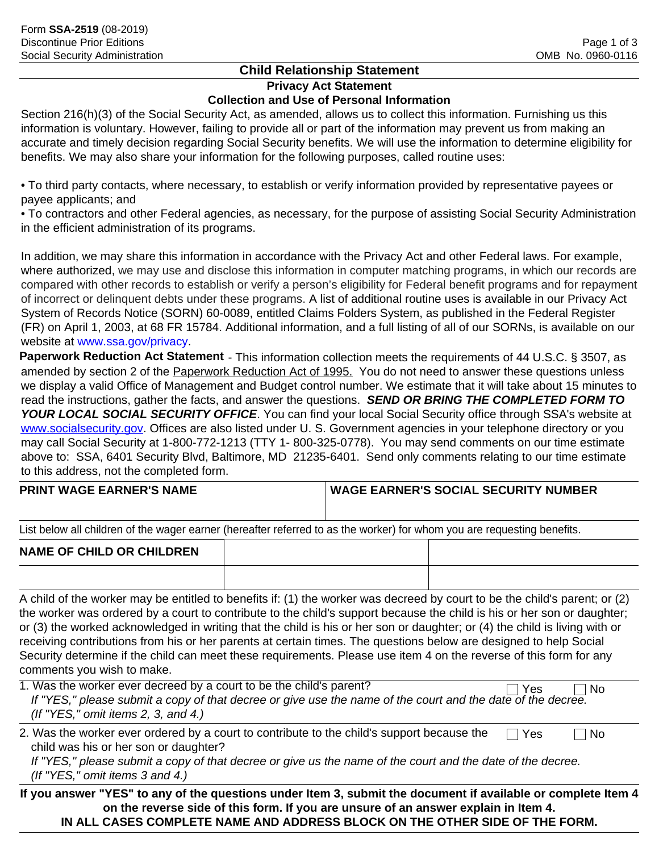## **Child Relationship Statement**

**Privacy Act Statement** 

## **Collection and Use of Personal Information**

Section 216(h)(3) of the Social Security Act, as amended, allows us to collect this information. Furnishing us this information is voluntary. However, failing to provide all or part of the information may prevent us from making an accurate and timely decision regarding Social Security benefits. We will use the information to determine eligibility for benefits. We may also share your information for the following purposes, called routine uses:

• To third party contacts, where necessary, to establish or verify information provided by representative payees or payee applicants; and

• To contractors and other Federal agencies, as necessary, for the purpose of assisting Social Security Administration in the efficient administration of its programs.

In addition, we may share this information in accordance with the Privacy Act and other Federal laws. For example, where authorized, we may use and disclose this information in computer matching programs, in which our records are compared with other records to establish or verify a person's eligibility for Federal benefit programs and for repayment of incorrect or delinquent debts under these programs. A list of additional routine uses is available in our Privacy Act System of Records Notice (SORN) 60-0089, entitled Claims Folders System, as published in the Federal Register (FR) on April 1, 2003, at 68 FR 15784. Additional information, and a full listing of all of our SORNs, is available on our website at www.ssa.gov/privacy.

Paperwork Reduction Act Statement - This information collection meets the requirements of 44 U.S.C. § 3507, as amended by section 2 of the Paperwork Reduction Act of 1995. You do not need to answer these questions unless we display a valid Office of Management and Budget control number. We estimate that it will take about 15 minutes to read the instructions, gather the facts, and answer the questions. *SEND OR BRING THE COMPLETED FORM TO*  YOUR LOCAL SOCIAL SECURITY OFFICE. You can find your local Social Security office through SSA's website at [www.socialsecurity.gov](http://www.socialsecurity.gov/). Offices are also listed under U. S. Government agencies in your telephone directory or you may call Social Security at 1-800-772-1213 (TTY 1- 800-325-0778). You may send comments on our time estimate above to: SSA, 6401 Security Blvd, Baltimore, MD 21235-6401. Send only comments relating to our time estimate to this address, not the completed form.

| <b>PRINT WAGE EARNER'S NAME</b> | <b>WAGE EARNER'S SOCIAL SECURITY NUMBER</b> |
|---------------------------------|---------------------------------------------|
|                                 |                                             |

List below all children of the wager earner (hereafter referred to as the worker) for whom you are requesting benefits.

| <b>NAME OF CHILD OR CHILDREN</b> |  |
|----------------------------------|--|
|                                  |  |

A child of the worker may be entitled to benefits if: (1) the worker was decreed by court to be the child's parent; or (2) the worker was ordered by a court to contribute to the child's support because the child is his or her son or daughter; or (3) the worked acknowledged in writing that the child is his or her son or daughter; or (4) the child is living with or receiving contributions from his or her parents at certain times. The questions below are designed to help Social Security determine if the child can meet these requirements. Please use item 4 on the reverse of this form for any comments you wish to make.

1. Was the worker ever decreed by a court to be the child's parent?

| 1. Was the worker ever decreed by a court to be the child's parent?                                         |  |
|-------------------------------------------------------------------------------------------------------------|--|
| If "YES," please submit a copy of that decree or give use the name of the court and the date of the decree. |  |
| (If "YES," omit items 2, 3, and 4.)                                                                         |  |

| 2. Was the worker ever ordered by a court to contribute to the child's support because the $\Box$ Yes | $\Box$ No |
|-------------------------------------------------------------------------------------------------------|-----------|
| child was his or her son or daughter?                                                                 |           |

| If "YES," please submit a copy of that decree or give us the name of the court and the date of the decree. |  |  |
|------------------------------------------------------------------------------------------------------------|--|--|
| (If "YES," omit items 3 and 4.)                                                                            |  |  |

**If you answer "YES" to any of the questions under Item 3, submit the document if available or complete Item 4 on the reverse side of this form. If you are unsure of an answer explain in Item 4. IN ALL CASES COMPLETE NAME AND ADDRESS BLOCK ON THE OTHER SIDE OF THE FORM.**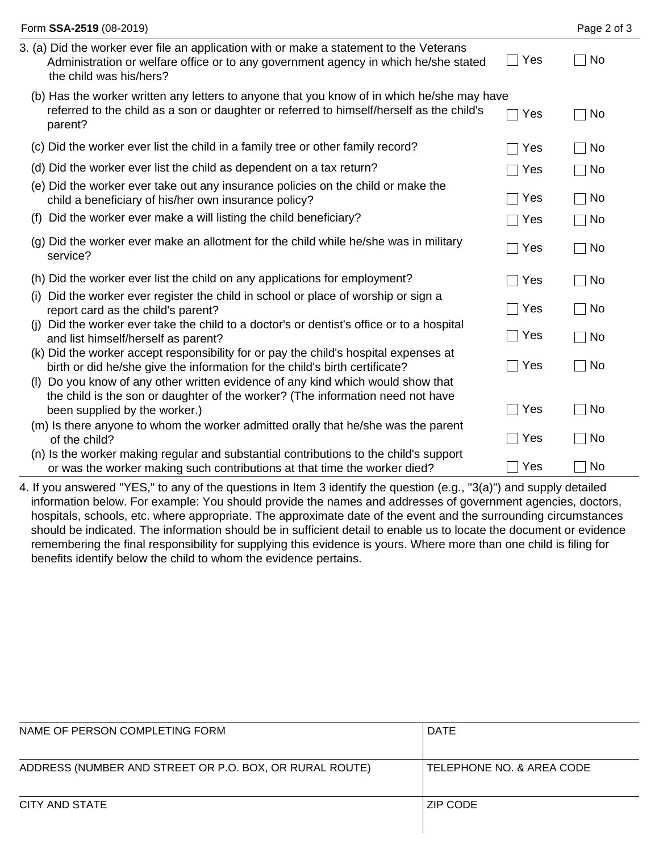| Form SSA-2519 (08-2019)                                                                                                                                                                                   |               | Page 2 of 3 |
|-----------------------------------------------------------------------------------------------------------------------------------------------------------------------------------------------------------|---------------|-------------|
| 3. (a) Did the worker ever file an application with or make a statement to the Veterans<br>Administration or welfare office or to any government agency in which he/she stated<br>the child was his/hers? | Yes<br>$\sim$ | No          |
| (b) Has the worker written any letters to anyone that you know of in which he/she may have<br>referred to the child as a son or daughter or referred to himself/herself as the child's<br>parent?         | Yes           | No          |
| (c) Did the worker ever list the child in a family tree or other family record?                                                                                                                           | Yes           | No          |
| (d) Did the worker ever list the child as dependent on a tax return?                                                                                                                                      | Yes           | No          |
| (e) Did the worker ever take out any insurance policies on the child or make the<br>child a beneficiary of his/her own insurance policy?                                                                  | Yes           | No          |
| (f) Did the worker ever make a will listing the child beneficiary?                                                                                                                                        | Yes           | No          |
| (g) Did the worker ever make an allotment for the child while he/she was in military<br>service?                                                                                                          | Yes           | No          |
| (h) Did the worker ever list the child on any applications for employment?                                                                                                                                | Yes           | No          |
| Did the worker ever register the child in school or place of worship or sign a<br>(i)<br>report card as the child's parent?                                                                               | Yes           | No          |
| Did the worker ever take the child to a doctor's or dentist's office or to a hospital<br>(1)<br>and list himself/herself as parent?                                                                       | Yes           | No          |
| (k) Did the worker accept responsibility for or pay the child's hospital expenses at<br>birth or did he/she give the information for the child's birth certificate?                                       | Yes           | No          |
| (I) Do you know of any other written evidence of any kind which would show that<br>the child is the son or daughter of the worker? (The information need not have<br>been supplied by the worker.)        | Yes           | No          |
| (m) Is there anyone to whom the worker admitted orally that he/she was the parent<br>of the child?                                                                                                        | Yes           | No          |
| (n) Is the worker making regular and substantial contributions to the child's support<br>or was the worker making such contributions at that time the worker died?                                        | Yes           | No          |
| A If you appear to put TO II to put of the questions in Item 2 identify the question (a.g. IIO(a)II) and questy detailed                                                                                  |               |             |

4. If you answered "YES," to any of the questions in Item 3 identify the question (e.g., "3(a)") and supply detailed information below. For example: You should provide the names and addresses of government agencies, doctors, hospitals, schools, etc. where appropriate. The approximate date of the event and the surrounding circumstances should be indicated. The information should be in sufficient detail to enable us to locate the document or evidence remembering the final responsibility for supplying this evidence is yours. Where more than one child is filing for benefits identify below the child to whom the evidence pertains.

| NAME OF PERSON COMPLETING FORM                          | <b>DATE</b>               |  |
|---------------------------------------------------------|---------------------------|--|
|                                                         |                           |  |
| ADDRESS (NUMBER AND STREET OR P.O. BOX, OR RURAL ROUTE) | TELEPHONE NO. & AREA CODE |  |
| CITY AND STATE                                          | ZIP CODE                  |  |